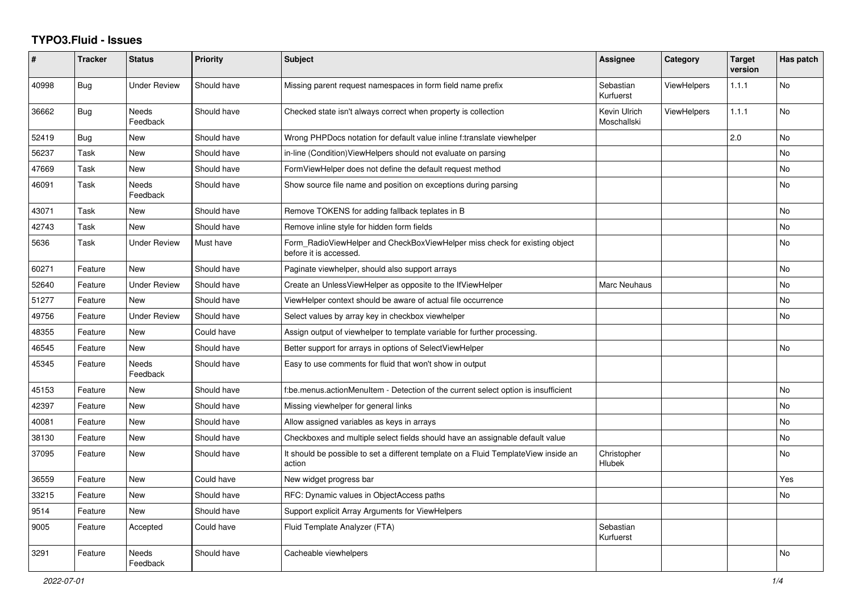## **TYPO3.Fluid - Issues**

| #     | Tracker    | <b>Status</b>       | <b>Priority</b> | Subject                                                                                              | Assignee                    | Category           | <b>Target</b><br>version | Has patch |
|-------|------------|---------------------|-----------------|------------------------------------------------------------------------------------------------------|-----------------------------|--------------------|--------------------------|-----------|
| 40998 | <b>Bug</b> | <b>Under Review</b> | Should have     | Missing parent request namespaces in form field name prefix                                          | Sebastian<br>Kurfuerst      | ViewHelpers        | 1.1.1                    | No        |
| 36662 | Bug        | Needs<br>Feedback   | Should have     | Checked state isn't always correct when property is collection                                       | Kevin Ulrich<br>Moschallski | <b>ViewHelpers</b> | 1.1.1                    | No        |
| 52419 | Bug        | New                 | Should have     | Wrong PHPDocs notation for default value inline f:translate viewhelper                               |                             |                    | 2.0                      | No        |
| 56237 | Task       | New                 | Should have     | in-line (Condition) View Helpers should not evaluate on parsing                                      |                             |                    |                          | <b>No</b> |
| 47669 | Task       | New                 | Should have     | FormViewHelper does not define the default request method                                            |                             |                    |                          | <b>No</b> |
| 46091 | Task       | Needs<br>Feedback   | Should have     | Show source file name and position on exceptions during parsing                                      |                             |                    |                          | <b>No</b> |
| 43071 | Task       | <b>New</b>          | Should have     | Remove TOKENS for adding fallback teplates in B                                                      |                             |                    |                          | <b>No</b> |
| 42743 | Task       | <b>New</b>          | Should have     | Remove inline style for hidden form fields                                                           |                             |                    |                          | No        |
| 5636  | Task       | <b>Under Review</b> | Must have       | Form_RadioViewHelper and CheckBoxViewHelper miss check for existing object<br>before it is accessed. |                             |                    |                          | <b>No</b> |
| 60271 | Feature    | <b>New</b>          | Should have     | Paginate viewhelper, should also support arrays                                                      |                             |                    |                          | <b>No</b> |
| 52640 | Feature    | <b>Under Review</b> | Should have     | Create an UnlessViewHelper as opposite to the IfViewHelper                                           | Marc Neuhaus                |                    |                          | <b>No</b> |
| 51277 | Feature    | New                 | Should have     | ViewHelper context should be aware of actual file occurrence                                         |                             |                    |                          | No        |
| 49756 | Feature    | <b>Under Review</b> | Should have     | Select values by array key in checkbox viewhelper                                                    |                             |                    |                          | No        |
| 48355 | Feature    | New                 | Could have      | Assign output of viewhelper to template variable for further processing.                             |                             |                    |                          |           |
| 46545 | Feature    | New                 | Should have     | Better support for arrays in options of SelectViewHelper                                             |                             |                    |                          | <b>No</b> |
| 45345 | Feature    | Needs<br>Feedback   | Should have     | Easy to use comments for fluid that won't show in output                                             |                             |                    |                          |           |
| 45153 | Feature    | New                 | Should have     | f:be.menus.actionMenuItem - Detection of the current select option is insufficient                   |                             |                    |                          | No        |
| 42397 | Feature    | <b>New</b>          | Should have     | Missing viewhelper for general links                                                                 |                             |                    |                          | No        |
| 40081 | Feature    | <b>New</b>          | Should have     | Allow assigned variables as keys in arrays                                                           |                             |                    |                          | <b>No</b> |
| 38130 | Feature    | New                 | Should have     | Checkboxes and multiple select fields should have an assignable default value                        |                             |                    |                          | <b>No</b> |
| 37095 | Feature    | New                 | Should have     | It should be possible to set a different template on a Fluid TemplateView inside an<br>action        | Christopher<br>Hlubek       |                    |                          | No        |
| 36559 | Feature    | New                 | Could have      | New widget progress bar                                                                              |                             |                    |                          | Yes       |
| 33215 | Feature    | New                 | Should have     | RFC: Dynamic values in ObjectAccess paths                                                            |                             |                    |                          | No        |
| 9514  | Feature    | New                 | Should have     | Support explicit Array Arguments for ViewHelpers                                                     |                             |                    |                          |           |
| 9005  | Feature    | Accepted            | Could have      | Fluid Template Analyzer (FTA)                                                                        | Sebastian<br>Kurfuerst      |                    |                          |           |
| 3291  | Feature    | Needs<br>Feedback   | Should have     | Cacheable viewhelpers                                                                                |                             |                    |                          | No        |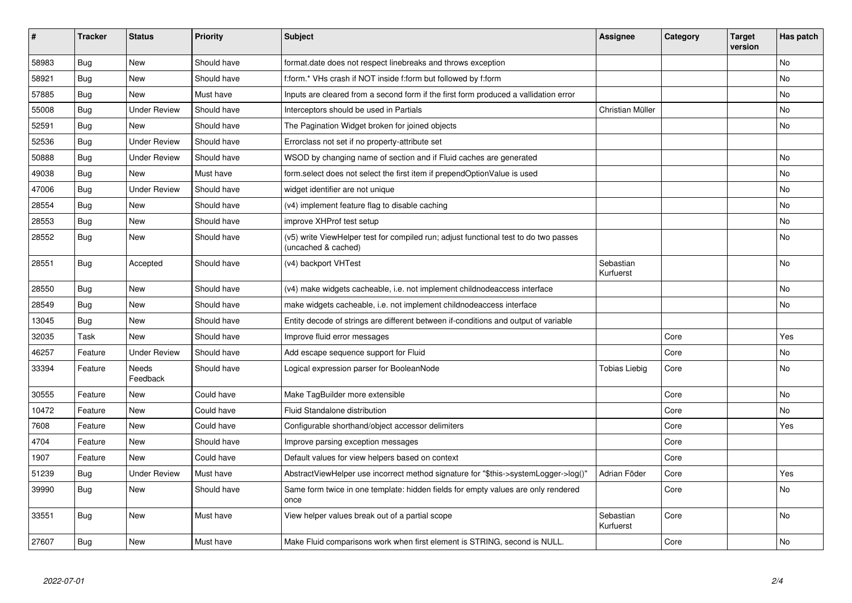| #     | <b>Tracker</b> | <b>Status</b>            | <b>Priority</b> | Subject                                                                                                     | <b>Assignee</b>        | Category | <b>Target</b><br>version | Has patch |
|-------|----------------|--------------------------|-----------------|-------------------------------------------------------------------------------------------------------------|------------------------|----------|--------------------------|-----------|
| 58983 | Bug            | <b>New</b>               | Should have     | format.date does not respect linebreaks and throws exception                                                |                        |          |                          | No.       |
| 58921 | Bug            | New                      | Should have     | f:form.* VHs crash if NOT inside f:form but followed by f:form                                              |                        |          |                          | No        |
| 57885 | Bug            | <b>New</b>               | Must have       | Inputs are cleared from a second form if the first form produced a vallidation error                        |                        |          |                          | No        |
| 55008 | Bug            | <b>Under Review</b>      | Should have     | Interceptors should be used in Partials                                                                     | Christian Müller       |          |                          | No        |
| 52591 | Bug            | New                      | Should have     | The Pagination Widget broken for joined objects                                                             |                        |          |                          | No        |
| 52536 | <b>Bug</b>     | <b>Under Review</b>      | Should have     | Errorclass not set if no property-attribute set                                                             |                        |          |                          |           |
| 50888 | Bug            | <b>Under Review</b>      | Should have     | WSOD by changing name of section and if Fluid caches are generated                                          |                        |          |                          | No        |
| 49038 | <b>Bug</b>     | <b>New</b>               | Must have       | form.select does not select the first item if prependOptionValue is used                                    |                        |          |                          | No        |
| 47006 | Bug            | <b>Under Review</b>      | Should have     | widget identifier are not unique                                                                            |                        |          |                          | No.       |
| 28554 | Bug            | New                      | Should have     | (v4) implement feature flag to disable caching                                                              |                        |          |                          | No        |
| 28553 | <b>Bug</b>     | New                      | Should have     | improve XHProf test setup                                                                                   |                        |          |                          | No        |
| 28552 | Bug            | New                      | Should have     | (v5) write ViewHelper test for compiled run; adjust functional test to do two passes<br>(uncached & cached) |                        |          |                          | No        |
| 28551 | <b>Bug</b>     | Accepted                 | Should have     | (v4) backport VHTest                                                                                        | Sebastian<br>Kurfuerst |          |                          | No        |
| 28550 | Bug            | New                      | Should have     | (v4) make widgets cacheable, i.e. not implement childnodeaccess interface                                   |                        |          |                          | No        |
| 28549 | Bug            | New                      | Should have     | make widgets cacheable, i.e. not implement childnodeaccess interface                                        |                        |          |                          | No        |
| 13045 | Bug            | New                      | Should have     | Entity decode of strings are different between if-conditions and output of variable                         |                        |          |                          |           |
| 32035 | Task           | <b>New</b>               | Should have     | Improve fluid error messages                                                                                |                        | Core     |                          | Yes       |
| 46257 | Feature        | <b>Under Review</b>      | Should have     | Add escape sequence support for Fluid                                                                       |                        | Core     |                          | No        |
| 33394 | Feature        | <b>Needs</b><br>Feedback | Should have     | Logical expression parser for BooleanNode                                                                   | Tobias Liebig          | Core     |                          | <b>No</b> |
| 30555 | Feature        | <b>New</b>               | Could have      | Make TagBuilder more extensible                                                                             |                        | Core     |                          | No        |
| 10472 | Feature        | <b>New</b>               | Could have      | <b>Fluid Standalone distribution</b>                                                                        |                        | Core     |                          | No        |
| 7608  | Feature        | <b>New</b>               | Could have      | Configurable shorthand/object accessor delimiters                                                           |                        | Core     |                          | Yes       |
| 4704  | Feature        | <b>New</b>               | Should have     | Improve parsing exception messages                                                                          |                        | Core     |                          |           |
| 1907  | Feature        | New                      | Could have      | Default values for view helpers based on context                                                            |                        | Core     |                          |           |
| 51239 | Bug            | <b>Under Review</b>      | Must have       | AbstractViewHelper use incorrect method signature for "\$this->systemLogger->log()"                         | Adrian Föder           | Core     |                          | Yes       |
| 39990 | Bug            | <b>New</b>               | Should have     | Same form twice in one template: hidden fields for empty values are only rendered<br>once                   |                        | Core     |                          | No.       |
| 33551 | Bug            | <b>New</b>               | Must have       | View helper values break out of a partial scope                                                             | Sebastian<br>Kurfuerst | Core     |                          | No        |
| 27607 | Bug            | New                      | Must have       | Make Fluid comparisons work when first element is STRING, second is NULL.                                   |                        | Core     |                          | No        |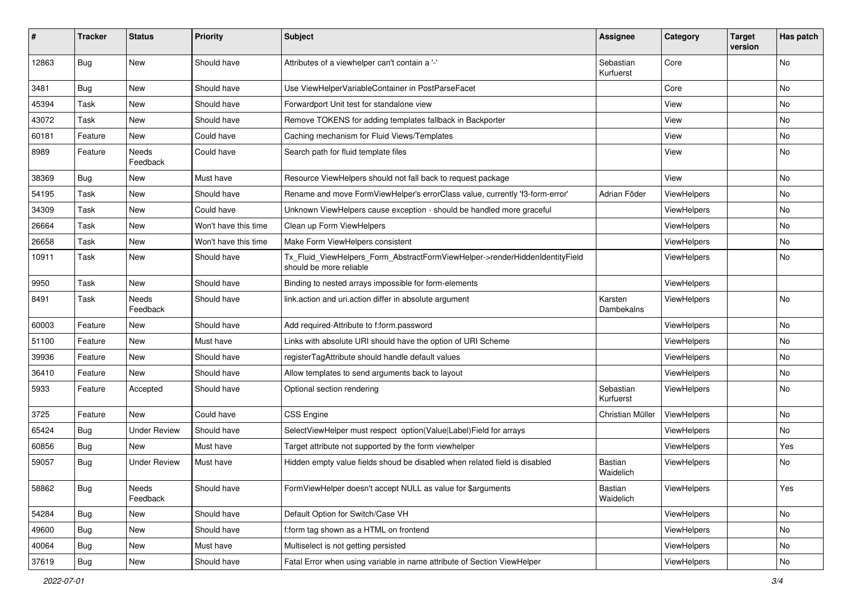| ∦     | <b>Tracker</b> | <b>Status</b>            | <b>Priority</b>      | Subject                                                                                                | <b>Assignee</b>             | Category    | <b>Target</b><br>version | Has patch |
|-------|----------------|--------------------------|----------------------|--------------------------------------------------------------------------------------------------------|-----------------------------|-------------|--------------------------|-----------|
| 12863 | Bug            | New                      | Should have          | Attributes of a viewhelper can't contain a '-'                                                         | Sebastian<br>Kurfuerst      | Core        |                          | No        |
| 3481  | Bug            | New                      | Should have          | Use ViewHelperVariableContainer in PostParseFacet                                                      |                             | Core        |                          | No        |
| 45394 | Task           | New                      | Should have          | Forwardport Unit test for standalone view                                                              |                             | View        |                          | No        |
| 43072 | Task           | New                      | Should have          | Remove TOKENS for adding templates fallback in Backporter                                              |                             | View        |                          | No        |
| 60181 | Feature        | <b>New</b>               | Could have           | Caching mechanism for Fluid Views/Templates                                                            |                             | View        |                          | No.       |
| 8989  | Feature        | Needs<br>Feedback        | Could have           | Search path for fluid template files                                                                   |                             | View        |                          | No        |
| 38369 | <b>Bug</b>     | New                      | Must have            | Resource ViewHelpers should not fall back to request package                                           |                             | View        |                          | No        |
| 54195 | Task           | New                      | Should have          | Rename and move FormViewHelper's errorClass value, currently 'f3-form-error'                           | Adrian Föder                | ViewHelpers |                          | No        |
| 34309 | Task           | New                      | Could have           | Unknown ViewHelpers cause exception - should be handled more graceful                                  |                             | ViewHelpers |                          | No        |
| 26664 | Task           | New                      | Won't have this time | Clean up Form ViewHelpers                                                                              |                             | ViewHelpers |                          | No        |
| 26658 | Task           | New                      | Won't have this time | Make Form ViewHelpers consistent                                                                       |                             | ViewHelpers |                          | No        |
| 10911 | Task           | New                      | Should have          | Tx_Fluid_ViewHelpers_Form_AbstractFormViewHelper->renderHiddenIdentityField<br>should be more reliable |                             | ViewHelpers |                          | No        |
| 9950  | Task           | New                      | Should have          | Binding to nested arrays impossible for form-elements                                                  |                             | ViewHelpers |                          |           |
| 8491  | Task           | <b>Needs</b><br>Feedback | Should have          | link.action and uri.action differ in absolute argument                                                 | Karsten<br>Dambekalns       | ViewHelpers |                          | No        |
| 60003 | Feature        | New                      | Should have          | Add required-Attribute to f:form.password                                                              |                             | ViewHelpers |                          | No        |
| 51100 | Feature        | New                      | Must have            | Links with absolute URI should have the option of URI Scheme                                           |                             | ViewHelpers |                          | No.       |
| 39936 | Feature        | New                      | Should have          | registerTagAttribute should handle default values                                                      |                             | ViewHelpers |                          | No        |
| 36410 | Feature        | <b>New</b>               | Should have          | Allow templates to send arguments back to layout                                                       |                             | ViewHelpers |                          | No.       |
| 5933  | Feature        | Accepted                 | Should have          | Optional section rendering                                                                             | Sebastian<br>Kurfuerst      | ViewHelpers |                          | No        |
| 3725  | Feature        | <b>New</b>               | Could have           | <b>CSS Engine</b>                                                                                      | Christian Müller            | ViewHelpers |                          | No        |
| 65424 | <b>Bug</b>     | <b>Under Review</b>      | Should have          | SelectViewHelper must respect option(Value Label)Field for arrays                                      |                             | ViewHelpers |                          | No.       |
| 60856 | Bug            | New                      | Must have            | Target attribute not supported by the form viewhelper                                                  |                             | ViewHelpers |                          | Yes       |
| 59057 | Bug            | <b>Under Review</b>      | Must have            | Hidden empty value fields shoud be disabled when related field is disabled                             | <b>Bastian</b><br>Waidelich | ViewHelpers |                          | No        |
| 58862 | <b>Bug</b>     | Needs<br>Feedback        | Should have          | FormViewHelper doesn't accept NULL as value for \$arguments                                            | Bastian<br>Waidelich        | ViewHelpers |                          | Yes       |
| 54284 | Bug            | New                      | Should have          | Default Option for Switch/Case VH                                                                      |                             | ViewHelpers |                          | No        |
| 49600 | Bug            | New                      | Should have          | f:form tag shown as a HTML on frontend                                                                 |                             | ViewHelpers |                          | No        |
| 40064 | <b>Bug</b>     | New                      | Must have            | Multiselect is not getting persisted                                                                   |                             | ViewHelpers |                          | No        |
| 37619 | <b>Bug</b>     | New                      | Should have          | Fatal Error when using variable in name attribute of Section ViewHelper                                |                             | ViewHelpers |                          | No        |